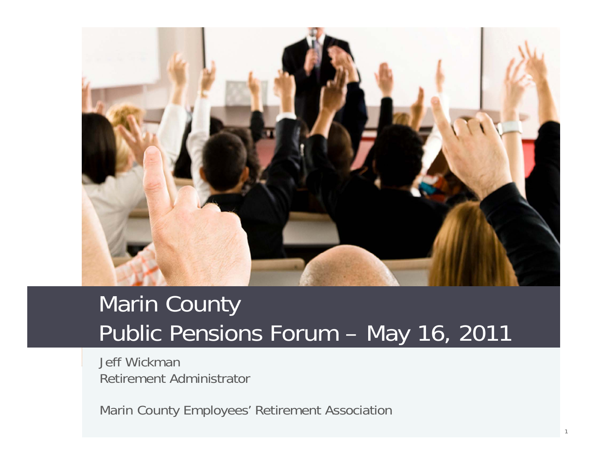

### Marin County Public Pensions Forum – May 16, 2011

Jeff WickmanRetirement Administrator

Marin County Employees' Retirement Association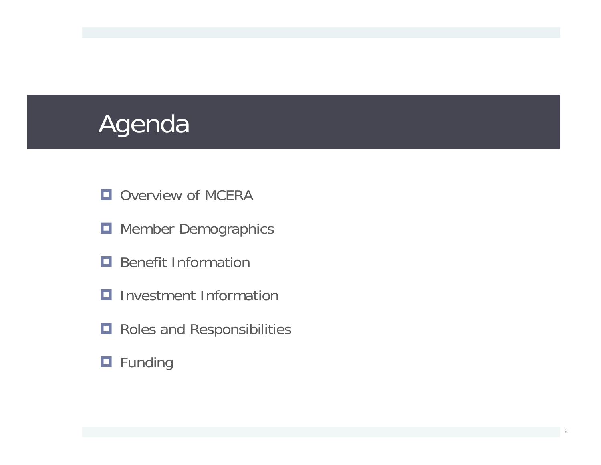# Agenda

- **OVerview of MCERA**
- **H** Member Demographics
- **Benefit Information**
- $\blacksquare$  Investment Information
- **Roles and Responsibilities**

#### **O** Funding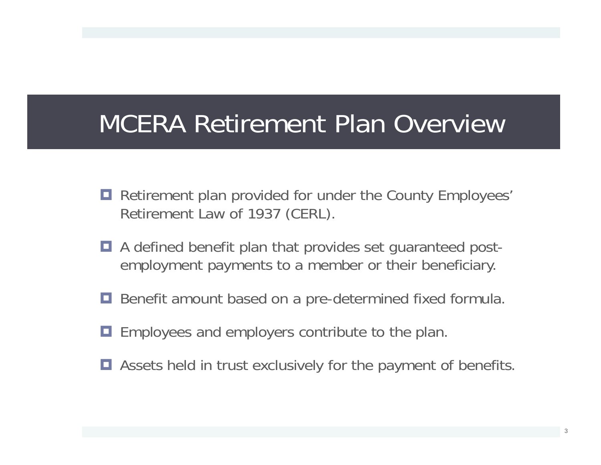## MCERA Retirement Plan Overview

- **Retirement plan provided for under the County Employees'** Retirement Law of 1937 (CERL).
- A defined benefit plan that provides set guaranteed postemployment payments to a member or their beneficiary.
- **Benefit amount based on a pre-determined fixed formula.**
- **Employees and employers contribute to the plan.**
- $\blacksquare$  Assets held in trust exclusively for the payment of benefits.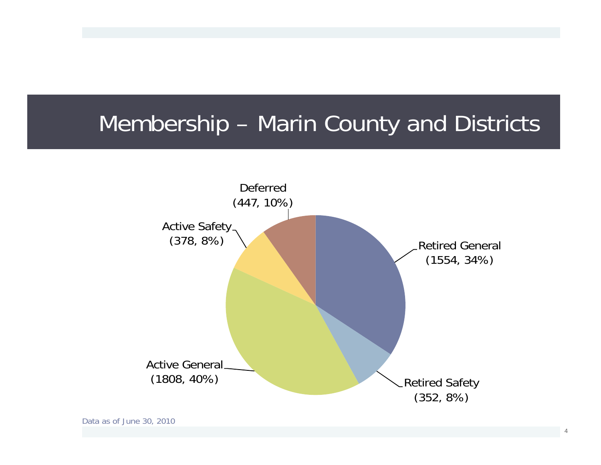### Membership – Marin County and Districts

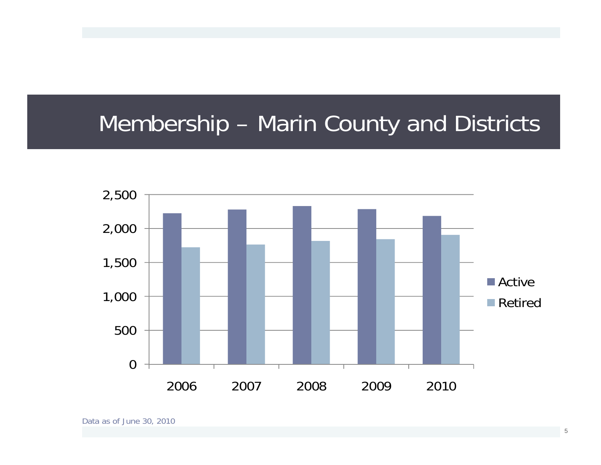### Membership – Marin County and Districts

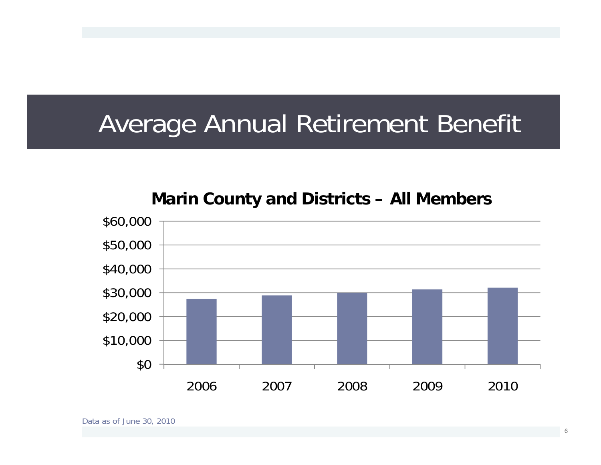## Average Annual Retirement Benefit

#### **Marin County and Districts – All Members**

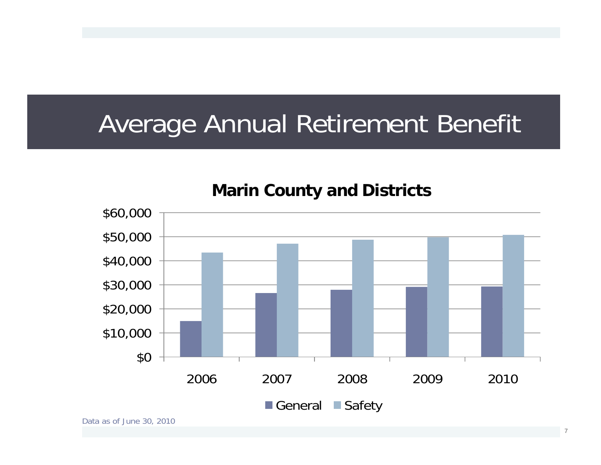## Average Annual Retirement Benefit



**Marin County and Districts**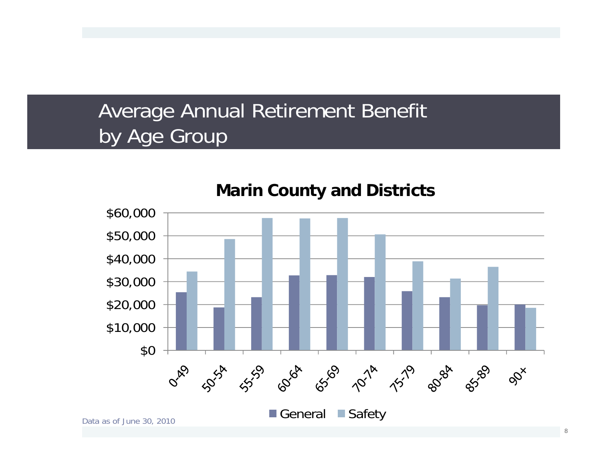#### Average Annual Retirement Benefit by Age Group



**Marin County and Districts**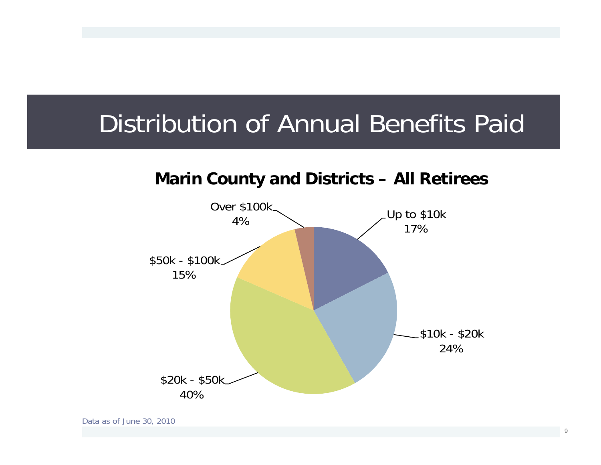## Distribution of Annual Benefits Paid

#### **Marin County and Districts – All Retirees**

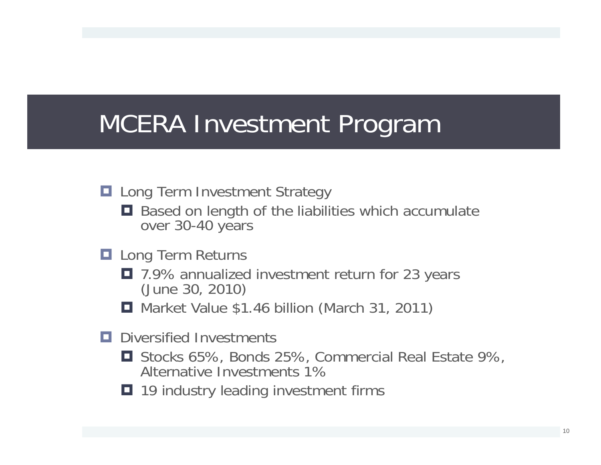# MCERA Investment Program

#### **Lang Term Investment Strategy**

- Based on length of the liabilities which accumulate over 30-40 years
- **Lang Term Returns** 
	- 7.9% annualized investment return for 23 years (June 30, 2010)
	- **H** Market Value \$1.46 billion (March 31, 2011)
- D Diversified Investments
	- Stocks 65%, Bonds 25%, Commercial Real Estate 9%, Alternative Investments 1%
	- 19 industry leading investment firms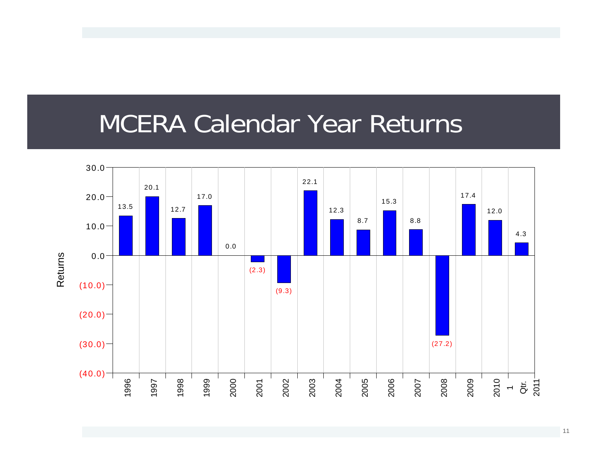### MCERA Calendar Year Returns

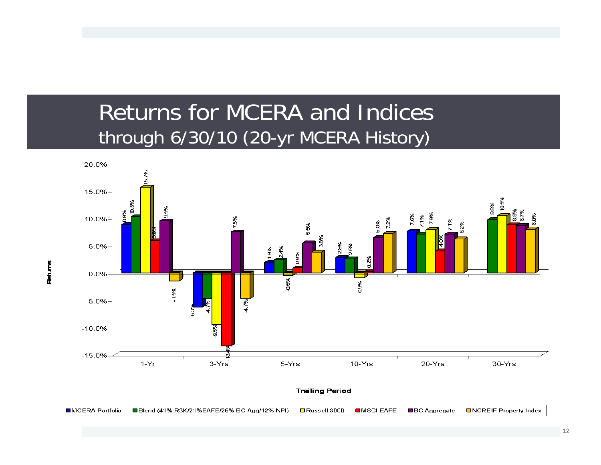#### Returns for MCERA and Indicesthrough 6/30/10 (20-yr MCERA History)

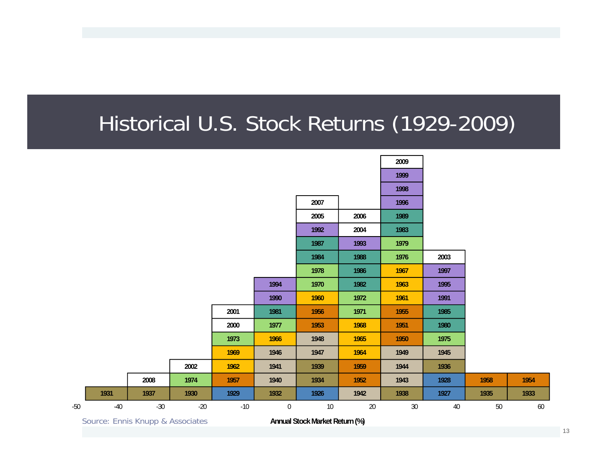#### Historical U.S. Stock Returns (1929-2009)

| $\sim$ |       | $\blacksquare$ . The set of $\blacksquare$ . The set of $\blacksquare$ |       |       |                  | $\overline{a}$ and $\overline{a}$ and $\overline{a}$ and $\overline{a}$ and $\overline{a}$ and $\overline{a}$ and $\overline{a}$ and $\overline{a}$ and $\overline{a}$ and $\overline{a}$ and $\overline{a}$ and $\overline{a}$ and $\overline{a}$ and $\overline{a}$ and $\overline{a}$ and $\overline{a}$ and $\overline{a}$ and | $\sqrt{2}$ |        |      |        |      |
|--------|-------|------------------------------------------------------------------------|-------|-------|------------------|------------------------------------------------------------------------------------------------------------------------------------------------------------------------------------------------------------------------------------------------------------------------------------------------------------------------------------|------------|--------|------|--------|------|
| $-50$  | $-40$ | $-30$                                                                  | $-20$ | $-10$ | $\boldsymbol{0}$ | $10$                                                                                                                                                                                                                                                                                                                               | $20\,$     | $30\,$ | 40   | $50\,$ | 60   |
|        | 1931  | 1937                                                                   | 1930  | 1929  | 1932             | 1926                                                                                                                                                                                                                                                                                                                               | 1942       | 1938   | 1927 | 1935   | 1933 |
|        |       | 2008                                                                   | 1974  | 1957  | 1940             | 1934                                                                                                                                                                                                                                                                                                                               | 1952       | 1943   | 1928 | 1958   | 1954 |
|        |       |                                                                        | 2002  | 1962  | 1941             | 1939                                                                                                                                                                                                                                                                                                                               | 1959       | 1944   | 1936 |        |      |
|        |       |                                                                        |       | 1969  | 1946             | 1947                                                                                                                                                                                                                                                                                                                               | 1964       | 1949   | 1945 |        |      |
|        |       |                                                                        |       | 1973  | 1966             | 1948                                                                                                                                                                                                                                                                                                                               | 1965       | 1950   | 1975 |        |      |
|        |       |                                                                        |       | 2000  | 1977             | 1953                                                                                                                                                                                                                                                                                                                               | 1968       | 1951   | 1980 |        |      |
|        |       |                                                                        |       | 2001  | 1981             | 1956                                                                                                                                                                                                                                                                                                                               | 1971       | 1955   | 1985 |        |      |
|        |       |                                                                        |       |       | 1990             | 1960                                                                                                                                                                                                                                                                                                                               | 1972       | 1961   | 1991 |        |      |
|        |       |                                                                        |       |       | 1994             | 1970                                                                                                                                                                                                                                                                                                                               | 1982       | 1963   | 1995 |        |      |
|        |       |                                                                        |       |       |                  | 1978                                                                                                                                                                                                                                                                                                                               | 1986       | 1967   | 1997 |        |      |
|        |       |                                                                        |       |       |                  | 1984                                                                                                                                                                                                                                                                                                                               | 1988       | 1976   | 2003 |        |      |
|        |       |                                                                        |       |       |                  | 1987                                                                                                                                                                                                                                                                                                                               | 1993       | 1979   |      |        |      |
|        |       |                                                                        |       |       |                  | 1992                                                                                                                                                                                                                                                                                                                               | 2004       | 1983   |      |        |      |
|        |       |                                                                        |       |       |                  | 2005                                                                                                                                                                                                                                                                                                                               | 2006       | 1989   |      |        |      |
|        |       |                                                                        |       |       |                  | 2007                                                                                                                                                                                                                                                                                                                               |            | 1996   |      |        |      |
|        |       |                                                                        |       |       |                  |                                                                                                                                                                                                                                                                                                                                    |            | 1998   |      |        |      |
|        |       |                                                                        |       |       |                  |                                                                                                                                                                                                                                                                                                                                    |            | 1999   |      |        |      |
|        |       |                                                                        |       |       |                  |                                                                                                                                                                                                                                                                                                                                    |            | 2009   |      |        |      |

Source: Ennis Knupp & Associates

**Annual Stock Market Return (%)**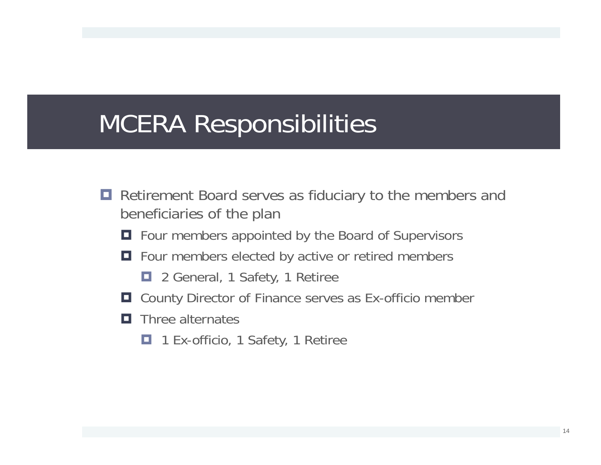# MCERA Responsibilities

- **Retirement Board serves as fiduciary to the members and** beneficiaries of the plan
	- $\blacksquare$  Four members appointed by the Board of Supervisors
	- $\Box$  Four members elected by active or retired members
		- 2 General, 1 Safety, 1 Retiree
	- $\Box$  County Director of Finance serves as Ex-officio member
	- $\blacksquare$  Three alternates
		- O. 1 Ex-officio, 1 Safety, 1 Retiree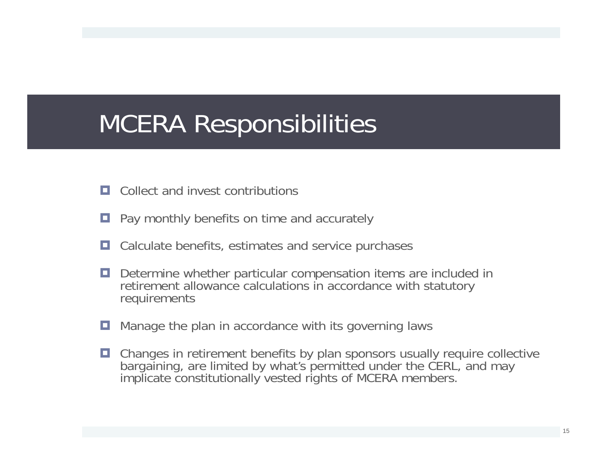# MCERA Responsibilities

- $\Box$  Collect and invest contributions
- o Pay monthly benefits on time and accurately
- о Calculate benefits, estimates and service purchases
- о Determine whether particular compensation items are included in retirement allowance calculations in accordance with statutory requirements
- о Manage the plan in accordance with its governing laws
- Changes in retirement benefits by plan sponsors usually require collective bargaining, are limited by what's permitted under the CERL, and may implicate constitutionally vested rights of MCERA members.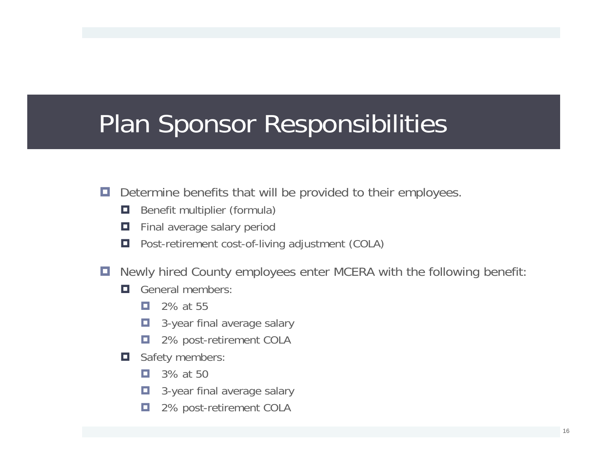# Plan Sponsor Responsibilities

- о Determine benefits that will be provided to their employees.
	- О Benefit multiplier (formula)
	- о Final average salary period
	- о Post-retirement cost-of-living adjustment (COLA)
- o. Newly hired County employees enter MCERA with the following benefit:
	- О. General members:
		- п. 2% at 55
		- п 3-year final average salary
		- о 2% post-retirement COLA
	- $\Box$  Safety members:
		- п. 3% at 50
		- o. 3-year final average salary
		- п 2% post-retirement COLA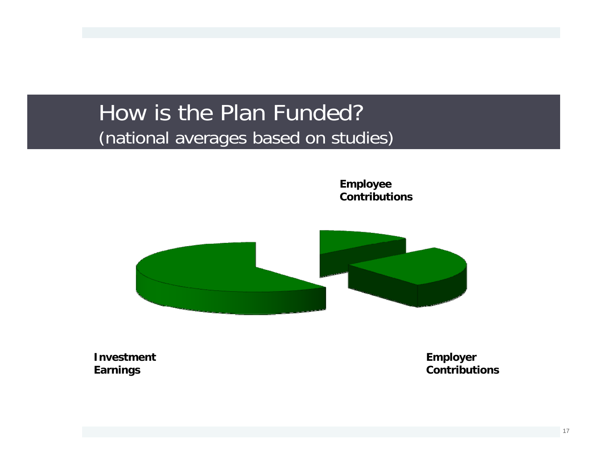#### How is the Plan Funded? (national averages based on studies)

**Employee Contributions**



**Investment Earnings**

**Employer Contributions**